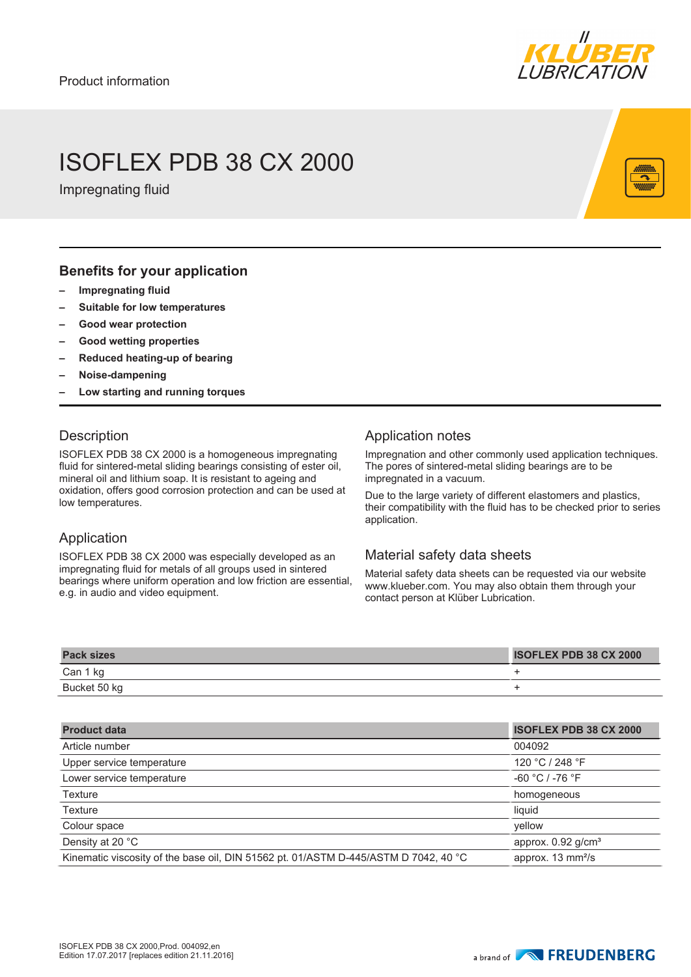

## ISOFLEX PDB 38 CX 2000

Impregnating fluid

#### **Benefits for your application**

- **– Impregnating fluid**
- **– Suitable for low temperatures**
- **– Good wear protection**
- **– Good wetting properties**
- **– Reduced heating-up of bearing**
- **– Noise-dampening**
- **– Low starting and running torques**

### **Description**

ISOFLEX PDB 38 CX 2000 is a homogeneous impregnating fluid for sintered-metal sliding bearings consisting of ester oil, mineral oil and lithium soap. It is resistant to ageing and oxidation, offers good corrosion protection and can be used at low temperatures.

### Application

ISOFLEX PDB 38 CX 2000 was especially developed as an impregnating fluid for metals of all groups used in sintered bearings where uniform operation and low friction are essential, e.g. in audio and video equipment.

### Application notes

Impregnation and other commonly used application techniques. The pores of sintered-metal sliding bearings are to be impregnated in a vacuum.

Due to the large variety of different elastomers and plastics, their compatibility with the fluid has to be checked prior to series application.

### Material safety data sheets

Material safety data sheets can be requested via our website www.klueber.com. You may also obtain them through your contact person at Klüber Lubrication.

| <b>Pack sizes</b> | <b>ISOFLEX PDB 38 CX 2000</b> |
|-------------------|-------------------------------|
| Can 1 kg          |                               |
| Bucket 50 kg      |                               |

| <b>ISOFLEX PDB 38 CX 2000</b>    |
|----------------------------------|
| 004092                           |
| 120 °C / 248 °F                  |
| $-60 °C / -76 °F$                |
| homogeneous                      |
| liquid                           |
| vellow                           |
| approx. $0.92$ g/cm <sup>3</sup> |
| approx. 13 mm <sup>2</sup> /s    |
|                                  |